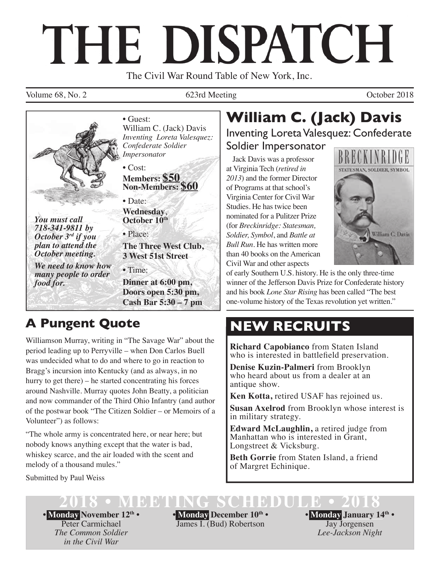# THE DISPATCH

The Civil War Round Table of New York, Inc.

Volume 68, No. 2 623rd Meeting Corober 2018



*718-341-9811 by October 3rd if you plan to attend the October meeting.* 

*We need to know how many people to order food for.*

• Guest: William C. (Jack) Davis *Inventing Loreta Valesquez: Confederate Soldier Impersonator*

• Cost: **Members: \$50 Non-Members: \$60**

• Date: **Wednesday**, **October 10th**

• Place: **The Three West Club, 3 West 51st Street** 

• Time:

**Dinner at 6:00 pm, Doors open 5:30 pm, Cash Bar 5:30 – 7 pm**

## **A Pungent Quote**

Williamson Murray, writing in "The Savage War" about the period leading up to Perryville – when Don Carlos Buell was undecided what to do and where to go in reaction to Bragg's incursion into Kentucky (and as always, in no hurry to get there) – he started concentrating his forces around Nashville. Murray quotes John Beatty, a politician and now commander of the Third Ohio Infantry (and author of the postwar book "The Citizen Soldier – or Memoirs of a Volunteer") as follows:

"The whole army is concentrated here, or near here; but nobody knows anything except that the water is bad, whiskey scarce, and the air loaded with the scent and melody of a thousand mules."

Submitted by Paul Weiss

## **William C. (Jack) Davis** Inventing Loreta Valesquez: Confederate

Soldier Impersonator

Jack Davis was a professor at Virginia Tech (*retired in 2013*) and the former Director of Programs at that school's Virginia Center for Civil War Studies. He has twice been nominated for a Pulitzer Prize (for *Breckinridge: Statesman, Soldier, Symbol*, and *Battle at Bull Run*. He has written more than 40 books on the American Civil War and other aspects



of early Southern U.S. history. He is the only three-time winner of the Jefferson Davis Prize for Confederate history and his book *Lone Star Rising* has been called "The best one-volume history of the Texas revolution yet written."

## **NEW RECRUITS**

**Richard Capobianco** from Staten Island who is interested in battlefield preservation.

**Denise Kuzin-Palmeri** from Brooklyn who heard about us from a dealer at an antique show.

**Ken Kotta,** retired USAF has rejoined us.

**Susan Axelrod** from Brooklyn whose interest is in military strategy.

**Edward McLaughlin,** a retired judge from Manhattan who is interested in Grant, Longstreet & Vicksburg.

**Beth Gorrie** from Staten Island, a friend of Margret Echinique.

**2020 BEETING** 

**• Monday November 12th •** Peter Carmichael *The Common Soldier in the Civil War*

**• Monday December 10th •** James I. (Bud) Robertson

**• Monday January 14th •** Jay Jorgensen *Lee-Jackson Night*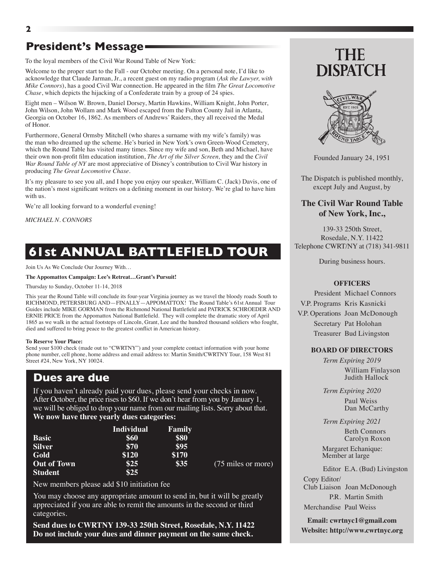## **President's Message**

To the loyal members of the Civil War Round Table of New York:

Welcome to the proper start to the Fall - our October meeting. On a personal note, I'd like to acknowledge that Claude Jarman, Jr., a recent guest on my radio program (*Ask the Lawyer, with Mike Connors*), has a good Civil War connection. He appeared in the film *The Great Locomotive Chase*, which depicts the hijacking of a Confederate train by a group of 24 spies.

Eight men – Wilson W. Brown, Daniel Dorsey, Martin Hawkins, William Knight, John Porter, John Wilson, John Wollam and Mark Wood escaped from the Fulton County Jail in Atlanta, Georgia on October 16, 1862. As members of Andrews' Raiders, they all received the Medal of Honor.

Furthermore, General Ormsby Mitchell (who shares a surname with my wife's family) was the man who dreamed up the scheme. He's buried in New York's own Green-Wood Cemetery, which the Round Table has visited many times. Since my wife and son, Beth and Michael, have their own non-profit film education institution, *The Art of the Silver Screen,* they and the *Civil War Round Table of NY* are most appreciative of Disney's contribution to Civil War history in producing *The Great Locomotive Chase*.

It's my pleasure to see you all, and I hope you enjoy our speaker, William C. (Jack) Davis, one of the nation's most significant writers on a defining moment in our history. We're glad to have him with us.

We're all looking forward to a wonderful evening!

*MICHAEL N. CONNORS*

## **61st ANNUAL BATTLEFIELD TOUR**

Join Us As We Conclude Our Journey With…

#### **The Appomattox Campaign: Lee's Retreat…Grant's Pursuit!**

Thursday to Sunday, October 11-14, 2018

This year the Round Table will conclude its four-year Virginia journey as we travel the bloody roads South to RICHMOND, PETERSBURG AND—FINALLY—APPOMATTOX! The Round Table's 61st Annual Tour Guides include MIKE GORMAN from the Richmond National Battlefield and PATRICK SCHROEDER AND ERNIE PRICE from the Appomattox National Battlefield. They will complete the dramatic story of April 1865 as we walk in the actual footsteps of Lincoln, Grant, Lee and the hundred thousand soldiers who fought, died and suffered to bring peace to the greatest conflict in American history.

#### **To Reserve Your Place:**

Send your \$100 check (made out to "CWRTNY") and your complete contact information with your home phone number, cell phone, home address and email address to: Martin Smith/CWRTNY Tour, 158 West 81 Street #24, New York, NY 10024.

### **Dues are due**

If you haven't already paid your dues, please send your checks in now. After October, the price rises to \$60. If we don't hear from you by January 1, we will be obliged to drop your name from our mailing lists. Sorry about that. **We now have three yearly dues categories:**

|                    | <b>Individual</b> | Family |                    |
|--------------------|-------------------|--------|--------------------|
| <b>Basic</b>       | \$60              | \$80   |                    |
| <b>Silver</b>      | \$70              | \$95   |                    |
| Gold               | \$120             | \$170  |                    |
| <b>Out of Town</b> | \$25              | \$35   | (75 miles or more) |
| <b>Student</b>     | \$25              |        |                    |

New members please add \$10 initiation fee

You may choose any appropriate amount to send in, but it will be greatly appreciated if you are able to remit the amounts in the second or third categories.

**Send dues to CWRTNY 139-33 250th Street, Rosedale, N.Y. 11422 Do not include your dues and dinner payment on the same check.**

## THE **DISPATCH**



Founded January 24, 1951

The Dispatch is published monthly, except July and August, by

#### **The Civil War Round Table of New York, Inc.,**

139-33 250th Street, Rosedale, N.Y. 11422 Telephone CWRT/NY at (718) 341-9811

During business hours.

#### **OFFICERS**

President Michael Connors V.P. Programs Kris Kasnicki V.P. Operations Joan McDonough Secretary Pat Holohan Treasurer Bud Livingston

#### **BOARD OF DIRECTORS**

*Term Expiring 2019* William Finlayson Judith Hallock

*Term Expiring 2020* Paul Weiss Dan McCarthy

*Term Expiring 2021*

 Beth Connors Carolyn Roxon

 Margaret Echanique: Member at large

Editor E.A. (Bud) Livingston

Copy Editor/ Club Liaison Joan McDonough P.R. Martin Smith

Merchandise Paul Weiss

**Email: cwrtnyc1@gmail.com Website: http://www.cwrtnyc.org**

#### **2**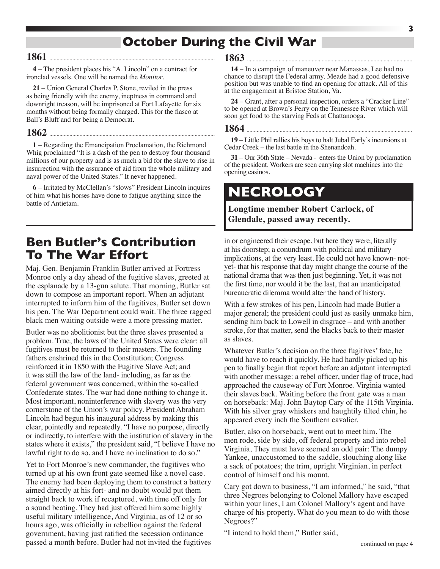## **October During the Civil War**

#### **1861**

**4** – The president places his "A. Lincoln" on a contract for ironclad vessels. One will be named the *Monitor*.

**21** – Union General Charles P. Stone, reviled in the press as being friendly with the enemy, ineptness in command and downright treason, will be imprisoned at Fort Lafayette for six months without being formally charged. This for the fiasco at Ball's Bluff and for being a Democrat.

#### **1862**

**1** – Regarding the Emancipation Proclamation, the Richmond Whig proclaimed "It is a dash of the pen to destroy four thousand millions of our property and is as much a bid for the slave to rise in insurrection with the assurance of aid from the whole military and naval power of the United States." It never happened.

**6** – Irritated by McClellan's "slows" President Lincoln inquires of him what his horses have done to fatigue anything since the battle of Antietam.

## **Ben Butler's Contribution To The War Effort**

Maj. Gen. Benjamin Franklin Butler arrived at Fortress Monroe only a day ahead of the fugitive slaves, greeted at the esplanade by a 13-gun salute. That morning, Butler sat down to compose an important report. When an adjutant interrupted to inform him of the fugitives, Butler set down his pen. The War Department could wait. The three ragged black men waiting outside were a more pressing matter.

Butler was no abolitionist but the three slaves presented a problem. True, the laws of the United States were clear: all fugitives must be returned to their masters. The founding fathers enshrined this in the Constitution; Congress reinforced it in 1850 with the Fugitive Slave Act; and it was still the law of the land- including, as far as the federal government was concerned, within the so-called Confederate states. The war had done nothing to change it. Most important, noninterference with slavery was the very cornerstone of the Union's war policy. President Abraham Lincoln had begun his inaugural address by making this clear, pointedly and repeatedly. "I have no purpose, directly or indirectly, to interfere with the institution of slavery in the states where it exists," the president said, "I believe I have no lawful right to do so, and I have no inclination to do so."

Yet to Fort Monroe's new commander, the fugitives who turned up at his own front gate seemed like a novel case. The enemy had been deploying them to construct a battery aimed directly at his fort- and no doubt would put them straight back to work if recaptured, with time off only for a sound beating. They had just offered him some highly useful military intelligence, And Virginia, as of 12 or so hours ago, was officially in rebellion against the federal government, having just ratified the secession ordinance passed a month before. Butler had not invited the fugitives

#### **1863**

**14** – In a campaign of maneuver near Manassas, Lee had no chance to disrupt the Federal army. Meade had a good defensive position but was unable to find an opening for attack. All of this at the engagement at Bristoe Station, Va.

**24** – Grant, after a personal inspection, orders a "Cracker Line" to be opened at Brown's Ferry on the Tennessee River which will soon get food to the starving Feds at Chattanooga.

## **1864**

**19** – Little Phil rallies his boys to halt Jubal Early's incursions at Cedar Creek – the last battle in the Shenandoah.

**31** – Our 36th State – Nevada - enters the Union by proclamation of the president. Workers are seen carrying slot machines into the opening casinos.

## **NECROLOGY**

#### **Longtime member Robert Carlock, of Glendale, passed away recently.**

in or engineered their escape, but here they were, literally at his doorstep; a conundrum with political and military implications, at the very least. He could not have known- notyet- that his response that day might change the course of the national drama that was then just beginning. Yet, it was not the first time, nor would it be the last, that an unanticipated bureaucratic dilemma would alter the hand of history.

With a few strokes of his pen, Lincoln had made Butler a major general; the president could just as easily unmake him, sending him back to Lowell in disgrace – and with another stroke, for that matter, send the blacks back to their master as slaves.

Whatever Butler's decision on the three fugitives' fate, he would have to reach it quickly. He had hardly picked up his pen to finally begin that report before an adjutant interrupted with another message: a rebel officer, under flag of truce, had approached the causeway of Fort Monroe. Virginia wanted their slaves back. Waiting before the front gate was a man on horseback: Maj. John Baytop Cary of the 115th Virginia. With his silver gray whiskers and haughtily tilted chin, he appeared every inch the Southern cavalier.

Butler, also on horseback, went out to meet him. The men rode, side by side, off federal property and into rebel Virginia, They must have seemed an odd pair: The dumpy Yankee, unaccustomed to the saddle, slouching along like a sack of potatoes; the trim, upright Virginian, in perfect control of himself and his mount.

Cary got down to business, "I am informed," he said, "that three Negroes belonging to Colonel Mallory have escaped within your lines, I am Colonel Mallory's agent and have charge of his property. What do you mean to do with those Negroes?"

"I intend to hold them," Butler said,